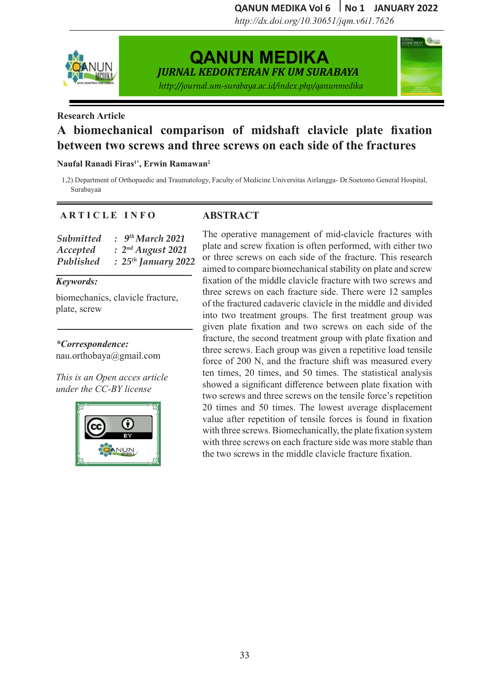QANUN MEDIKA Vol 6 No 1 JANUARY 2022

**URNAL BRANCHE** 

**QANUN MEDIKA VOL 4 no 1 Mei 2019 QANUN MEDIKA VOL.4 .l no 1 Mei 2019 Qanun Medika Vol. 3 No. 2 July 2019** *http://dx.doi.org/10.30651/jqm.v6i1.7626*



# **QANUN MEDIKA QANUN MEDIKA**

*JURNAL KEDOKTERAN FKUM SURABAYA JURNAL KEDOKTERAN FKUM SURABAYA JURNAL KEDOKTERAN FK UM SURABAYA*

http://journal.um-surabaya.ac.id/index.php/qanunmedika<br>. *JURNAL KEDOKTERAN FKUM SURABAYA*

*JURNAL KEDOKTERAN FKUM SURABAYA*

### Case Report **Case Report Research Article Research Article**

### A biomechanical comparison of midshaft clavicle plate fixation *TEWEER EWO SCIEWS AIRLAND CHEWS ON CAVE* between two screws and three screws on each side of the fractures

#### fal Ranadi Firas<sup>i</sup>", Erwin Ramawan<sup>2</sup>  $1$  Resident of Anesthesiology and International Faculty of RSUD Dr. Society of RSUD Dr. Society of RSUD Dr. Society of RSUD Dr. Society of RSUD Dr. Society of RSUD Dr. Society of RSUD Dr. Society of RSUD Dr. Society of R Naufal Ranadi Firas<sup>1\*</sup>, Erwin Ramawan<sup>2</sup>

ulty of Airlangga University.

Airlangga University.

Department of Orthopaedic and Traumatology, Faculty of Medicine Universitas Airlangga- Dr. Soetomo General Hospital,  $2$ ) Surabayaa bayaa ultimaan university. Airlangga University of Airlangga University. Airlangga University of Airlangga Univ 1) Resident of Anesthesiology and Intensive Care of RSUD Dr. Soetomo, Medical Faculty of 1,2) Department of Orthopaedic and Traumatology, Faculty of Medicine Universitas Airlangga- Dr.Soetomo General Hospital,  $\frac{1}{2}$  abayaa Surabayaa

### **A R T I C L E I N F O ARTICLE INFO ABSTRACT**  $\sum_{i=1}^{n}$

#### *Submitted : Accepted : Published :*   $bm{t}$  :  $9<sup>th</sup> March$ *Submitted : Januari 2019 Accepted : February 2019 Submitted : Januari 2019 Accepted : February 2019 July 2019 Published : 25th January 2022* ulty of Airlangga University. *March 2019 Submitted : 9th March 2021*  **A** R T I C **A** R T I C L E I N F O *Mei 2019 Accepted : 2nd August 2021*

#### *Keywords: Published : Mei 2019 Published : Mei 2019 Keywords: Submitted is a submitted x Submitted : Januari 2019*

plate, screw biomechanics, clavicle fracture,

#### hypernatremia, desmopressin, ICU *Keywords: Keywords: \*Correspondence:*

*Correspondence: Correspondence: Correspondence:*  Diabetes insipidus, brain injury, Diabetes insipidus, brain injury, nau.orthobaya@gmail.com  $l_{\alpha}$ 

*This is an Open acces article under the CC-BY license* 



#### $2\text{ICLE}$  INFO ABSIKACI **ABSTRACT ABSTRACT**

The operative management of mid-clavicle fractures with plate and screw fixation is often performed, with either two or three screws on each side of the fracture. This research ned to compare biomechanical stability on plate and screw fixation of the middle clavicle fracture with two screws and three screws on each fracture side. There were 12 samples of the fractured cadaveric clavicle in the middle and divided into two treatment groups. The first treatment group was given plate fixation and two screws on each side of the fracture, the second treatment group with plate fixation and three screws. Each group was given a repetitive load tensile force of 200 N, and the fracture shift was measured every ten times, 20 times, and 50 times. The statistical analysis showed a significant difference between plate fixation with two screws and three screws on the tensile force's repetition 20 times and 50 times. The lowest average displacement value after repetition of tensile forces is found in fixation with three screws. Biomechanically, the plate fixation system with three screws on each fracture side was more stable than the two screws in the middle clavicle fracture fixation. aimed to compare biomechanical stability on plate and screw  $\overline{\phantom{a}}$  is  $\overline{\phantom{a}}$  is  $\overline{\phantom{a}}$  is  $\overline{\phantom{a}}$  is  $\overline{\phantom{a}}$  is  $\overline{\phantom{a}}$  is  $\overline{\phantom{a}}$  is  $\overline{\phantom{a}}$  is  $\overline{\phantom{a}}$  is  $\overline{\phantom{a}}$  is  $\overline{\phantom{a}}$  is  $\overline{\phantom{a}}$  is  $\overline{\phantom{a}}$  is  $\overline{\phantom{a}}$  is  $\overline{\phantom{a}}$  $\overline{10}$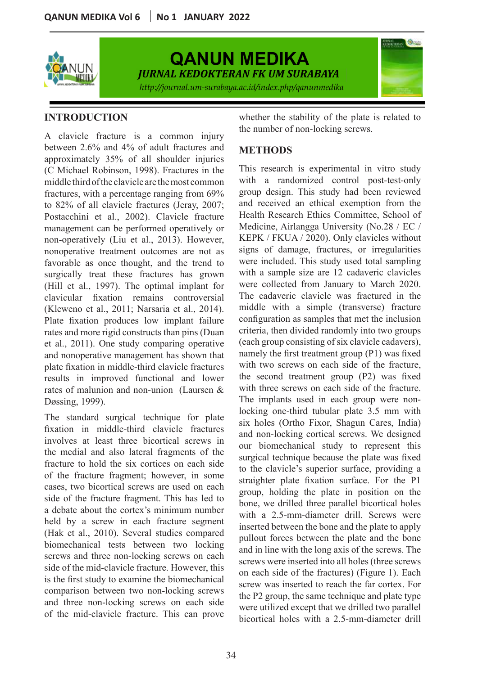

**QANUN MEDIKA QANUN MEDIKA** *JURNAL KEDOKTERAN FKUM SURABAYA JURNAL KEDOKTERAN FKUM SURABAYA JURNAL KEDOKTERAN FK UM SURABAYA* http://journal.um-surabaya.ac.id/index.php/qanunmedika<br>.

*JURNAL KEDOKTERAN FKUM SURABAYA*



## **INTRODUCTION**

 $\frac{1}{2002}$ *Keywords:* non-operatively (Liu et al., 2013). However, KE nonoperative treatment outcomes are not as avorable as once thought, an *Correspondence:*  A clavicle fracture is a common injury the number of non-locking screws. octwich 2.0% and 4% of addit natures and<br>approximately 35% of all shoulder injuries proximately 33% of an shoulder injuries<br>Michael Robinson, 1998). Fractures in the This research is experimental in vitro stud middle third of the clavicle are the most common with a r  $\frac{1}{2}$  of all clavicle fractures  $\frac{1}{2}$ Accepted as once thought, and the rend to<br>surgically treat these fractures has grown *Published : Mei 2019 Published : Mei 2019 Keywords: Keywords: Published : Mei 2019 Published : Mei 2019* Penggaron Lor (Kleweno et al., 2011; Narsaria et al., 2014). Plate fixation produces low implant failure rates and more rigid constructs than pins (Duan and nonoperative management has shown that plate haation in middle time clavicle haetares<br>results in improved functional and lower between 2.6% and 4% of adult fractures and **METHODS** fractures, with a percentage ranging from 69% ol all clavicle tracture ement can be performed oper *(Hill et al., 1997). The optimal implant for* clavicular fixation remains controversial favorable as once thought, and the trend to were *Keywords: Keywords:* et al., 2011). One study comparing operative plate fixation in middle-third clavicle fractures rates of malunion and non-union (Laursen & Døssing, 1999). **YUCHACL NOUTISON, 1990).** FIACTURES IN THE THIS IS matteres, while percentage ranging noise of 82% of all clavicle fractures (Jeray, 2007; management can be performed operatively or **Aisyah Lahdji1** (C Michael Robinson, 1998). Fractures in the

screws and three non-locking screws on each biomechanical tests between two locking  $\frac{P}{a}$ The standard surgical technique for plate fixation in middle-third clavicle fractures involves at least three bicortical screws in the medial and also lateral fragments of the fracture to hold the six cortices on each side of the fracture fragment; however, in some cases, two bicortical screws are used on each side of the fracture fragment. This has led to a debate about the cortex's minimum number held by a screw in each fracture segment (Hak et al., 2010). Several studies compared

*JURNAL KEDOKTERAN FKUM SURABAYA* whether the stability of the plate is related to the number of non-locking screws.

## **METHODS**

neure and of the Charlot departement of Anesthesin Communismum of Anesthesion Care of Anesthesion Care of Anes<br>1) Resident of Anesthesion Care of Anesthesion Care of Real Faculty of Real Faculty of Anesthesion Care of Ane not as signs of damage, fractures, or irregularities rend to were included. This study used total sampling grown with a sample size are 12 cadaveric clavicles lant for were collected from January to March 2020. oversial The cadaveric clavicle was fractured in the  $(2014)$ . middle with a simple (transverse) fracture failure configuration as samples that met the inclusion  $\frac{1}{s}$  (Duan criteria, then divided randomly into two groups  $\frac{1}{2}$  each group consisting of six clavicle cadavers), when that namely the first treatment group (P1) was fixed ractures with two screws on each side of the fracture, I lower the second treatment group (P2) was fixed  $\frac{1}{2}$  with three screws on each side of the fracture. The implants used in each group were non- $\frac{1}{2}$  locking one-third tubular plate 3.5 mm with locking one-third tubular plate 3.5 mm with<br>six holes (Ortho Fixor, Shagun Cares, India) ractures and non-locking cortical screws. We designed rews in our biomechanical study to represent this  $\frac{1}{2}$  of the surgical technique because the plate was fixed  $\frac{1}{2}$  acts to the clavicle's superior surface, providing a n some straighter plate fixation surface. For the P1 on each group, holding the plate in position on the on each group, holding the plate in position on the<br>s led to bone, we drilled three parallel bicortical holes number with a 2.5-mm-diameter drill. Screws were segment inserted between the bone and the plate to apply side of the mid-clavicle fracture. However, this  $\frac{1}{2}$  on each side of the fractures) (Figure 1) Each is the first study to examine the biomechanical screw was inserted to reach the far cortex. For comparison between two non-locking screws  $\frac{1}{1}$  the P2 group the same technique and plate type and three non-locking screws on each side<br>were utilized except that we drilled two parallel of the mid-clavicle fracture. This can prove were utilized except that we drilled two parallel ddle third of the clavicle are the most common with a randomized control post-test-only tures, with a percentage ranging from 69% group design. This study had been reviewed<br>2% of all clavicle fractures (Jeray, 2007; and received an ethical exemption from the Postacchini et al., 2002). Clavicle fracture Health Research Ethics Committee, School of  $M_{\odot}$  $t_{\text{other}}$  pullout forces between the plate and the bone ocking  $\frac{1}{\alpha}$  and in line with the long axis of the screws. The in each screws were inserted into all holes (three screws the final character fracture. This can prove bicortical holes with a 2.5-mm-diameter drill  $\frac{2}{3}$  of an element matter (exity,  $\frac{2}{3}$ ,  $\frac{2}{3}$ , Realth Research Ethics Committee, School of  $\frac{M}{\gamma}$  or Medicine, Airlangga University (No.28 / EC /  $V_{\text{ver}}$ , KEPK / FKUA / 2020). Only clavicles without This research is experimental in vitro study on each side of the fractures) (Figure 1). Each screw was inserted to reach the far cortex. For the P2 group, the same technique and plate type were utilized except that we drilled two parallel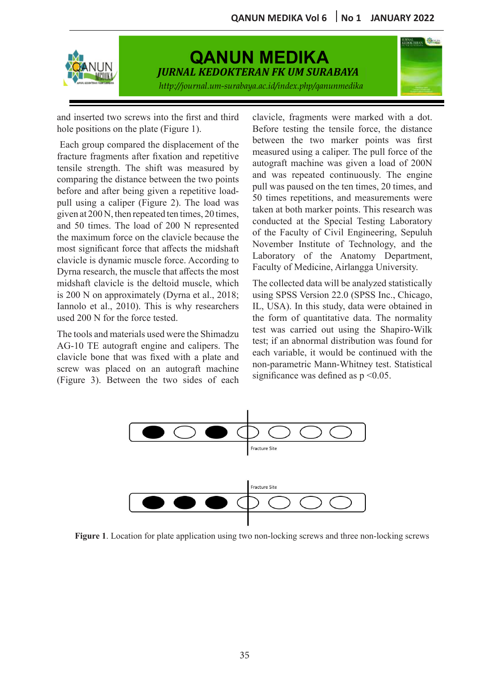

# **QANUN MEDIKA QANUN MEDIKA** *JURNAL KEDOKTERAN FKUM SURABAYA JURNAL KEDOKTERAN FKUM SURABAYA JURNAL KEDOKTERAN FK UM SURABAYA* http://journal.um-surabaya.ac.id/index.php/qanunmedika<br>.

*JURNAL KEDOKTERAN FKUM SURABAYA JURNAL KEDOKTERAN FKUM SURABAYA*



and inserted two screws into the first and third hole positions on the plate (Figure 1). Before testing the tensile

**A** R The load of 2 *Keywords:* the maximum force on the clavicle because the  $\frac{dt}{d\Omega}$ most significant force that affects the midshaft *Publisheda is dynamic muscle force.* fracture fragments after fixation and repetitive<br>autograft machine was given a load of 200N tensile strength. The shift was measured by autograft machine was given a load of 200N before and after being given a repetitive load-<br> $\frac{\text{pull was passed on the ten times, 20 times, and}}{\text{Sol}}$ ing a caliper (Figure 2). The Dyrna research, the muscle that affects the most *Published : Mei 2019 Published : Mei 2019* Iannolo et al., 2010). This is why researchers used 200 N for the force tested. Each group compared the displacement of the between the two marker poir g a canper (rigule 2  $\frac{1}{200}$  N intervalse U  $\frac{1}{200}$  IV is  $\frac{1}{200}$ midshaft clavicle is the deltoid muscle, which *is* 200 N on approximately (Dyrna et al., 2018; **EXECUTE:** The stiff was measured by and was comparing the distance between the two points pull using a caliper (Figure 2). The load was and 50 times. The load of 200 N represented clavicle is dynamic muscle force. According to given at 200 N, then repeated ten times, 20 times,

*Correspondence:*   $s_{\text{st}}$  surgery, the signs of diabetes inside by  $s_{\text{st}}$ The tools and materials used were the Shimadzu clavicle bone that was fixed with a plate and ew was placed on an screw was placed on an autograft machine *Correspondence: Correspondence:*   $\sum_{i=1}^{n}$ AG-10 TE autograft engine and calipers. The (Figure 3). Between the two sides of each

le positions on the plate (Figure 1).<br>
<u>Before testing</u> the tensile force, the distance<br>
between the two marker points was first paring the distance between the two points and was repeated continuously. The engine paring the distance between the two points november Institute of Technology, and the idshaft  $\lim_{n \to \infty}$  to  $\lim_{n \to \infty}$  of the Ahatomy Department, e most racuity of Medicine, Alliangga University.  $\alpha$  idshaft inversion institute of recomponent and the  $\lim_{n \to \infty}$  to  $\lim_{n \to \infty}$  of the Allatony Department,  $e$  most  $\Gamma$  acuity of Niculative, Alliangga University. are haghents after hadron and repetitive autograft machine was given a load of 200N and article being given a repetitive road-<br>sing a caliner (Figure 2). The load was  $\frac{50}{2}$  times repetitions, and measurements were at 200 IV, then repeated ten times, 20 times,<br>0 times. The load of 200 N represented conducted at the Special Testing Laboratory nost Faculty of Medicine, Airlangga University. *h* the first and third clavicle, fragments were marked with a dot. and after being given a repetitive  $\log A$  pull was paused on the ten times, 20 times, and  $\frac{212}{9}$  and  $\frac{200 \text{ N}}{100 \text{ N}}$  then repeated ten times 20 times taken at both marker points. This research was le positions on the plate (Figure 1). Before testing the tensile force, the distance he of the Faculty of Civil Engineering, Sepuluh to Laboratory of the Anatomy Department, measured using a caliper. The pull force of the and was repeated continuously. The engine

which The collected data will be analyzed statistically 2018; using SPSS Version 22.0 (SPSS Inc., Chicago, and the state of the state of the state of the state of the state of the study, data were obtained in the form of quantitative data. The normality test was carried out using the Shapiro-Wilk  $\frac{1}{2}$  and  $\frac{1}{2}$  and  $\frac{1}{2}$  and  $\frac{1}{2}$  and  $\frac{1}{2}$  are  $\frac{1}{2}$  and  $\frac{1}{2}$  and  $\frac{1}{2}$  are  $\frac{1}{2}$  and  $\frac{1}{2}$  are  $\frac{1}{2}$  and  $\frac{1}{2}$  are  $\frac{1}{2}$  and  $\frac{1}{2}$  are  $\frac{1}{2}$  and  $\frac{1}{2}$  a the end each variable, it would be continued with the achine non-parametric Mann-Whitney test. Statistical  $f_{\text{each}}$  significance was defined as  $p < 0.05$ .  $s$  factor  $\frac{1}{2}$  and  $\frac{1}{2}$  and  $\frac{1}{2}$  years of  $\frac{1}{2}$  $\epsilon$  ach  $\epsilon$  is the solution of  $\epsilon$  and  $\epsilon$  and  $\epsilon$  is the solution of  $\epsilon$ 



ising two non-locking screws and three non-locking screws of brain injury requires complicated treatment. Therefore, **Figure 1**. Location for plate application using two non-locking screws and three non-**Figure 1**. Location for plate application using two non-locking screws and three non-locking screws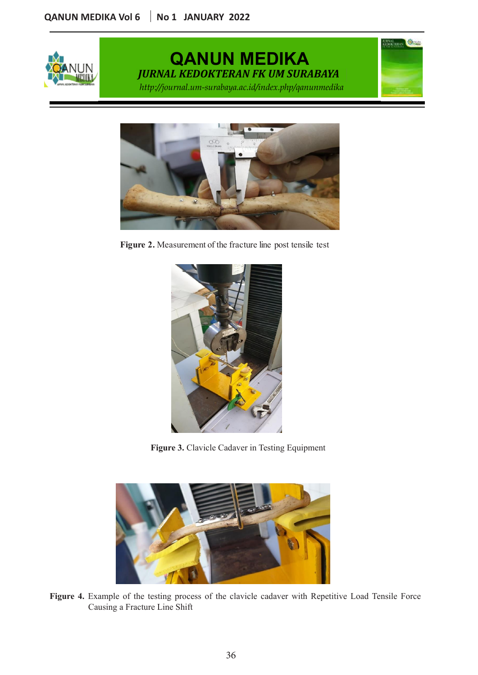

#### **QANUN MEDIKA**  URNAL KEDOKTERAN FK UM SURABAY **QANUN MEDIKA**  JRNAL KEDOKTERAN FK UM SURABAY http://journal.um-surabaya.ac.id/index.php/qanunmedika<br>. **QANUN MEDIKA VOL 4 no 1 Mei 2019 QANUN MEDIKA VOL.4 .l no 1 Mei 2019** *JURNAL KEDOKTERAN FK UM SURABAYA* **Figure 11. Location for plate application for plate application in the screws and three non-location in the sc**  $\overline{D}$ *nai vedi*

**RUSSAL COMPANY** 

*JURNAL KEDOKTERAN FKUM SURABAYA JURNAL KEDOKTERAN FKUM SURABAYA*



**Figure 2** Measurement of the fract Traumatic server branch interests in the facture interests in the facture interest. **Figure 2** Measurement of the fracture The transmit severe brain is a factor in the fatal intervention in the fatal intervention in the fatal intervention of the fatal intervention of the fatal intervention of the fatal intervention of the fatal intervention of *March 2019 Mei 2019*  **Figure 2.** Measurement of the fracture line post tensile test



lavicle Cadaver in Testing Equipment designed the patients compared and hemodynamic was considered and hemodynamic was considered was considered was riele Cedever in Testing Equipment desmopressin, the patients clinical andhemodynamic was Figure 3. Clavicle Cadaver in Testing Equipment unhealthy 14 families, with three lowest indicators of PIS-



 $\Gamma$   $\alpha$  500 kematia 600.000 institute permanent. Sekitar permanent in sekitar 85% kematian terjadi dalam 2 mingguan terjadi dan 2 mingguan terjadi dan 2 mingguan terjadi dan 2 mingguan 2 mingguan 2 mingguan 2 mingguan 2 pertama setelah cedera. Salah satu komplikasi dari cedera. Satu kompletasi dari cedera otak yang parah diabetes insipidus. Tidak ada data pasti tentang kejadian diabetes insipidus pada pasien dengan cedera otak traumatis  $\Gamma$   $\alpha$  500.000 inside the testing process of the claviole cadaver with Repetitive Load Tensile Force **Figure 4.** Example of the testing process of the clavicle cadaver with Repetitive Load Tensile Force<br>Causing a Fracture Line Shift Tidak ada data pasti tentang kejadian diabetes insipidus pada pasien dengan cedera otak traumatis Causing a Fracture Line Shift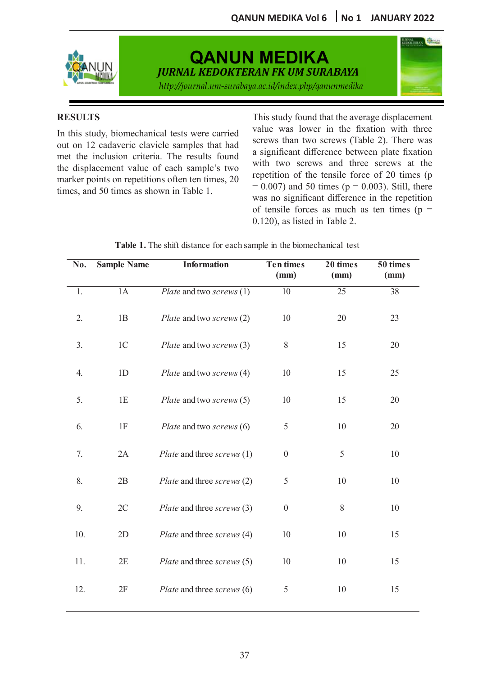

# **QANUN MEDIKA QANUN MEDIKA**

*JURNAL KEDOKTERAN FKUM SURABAYA JURNAL KEDOKTERAN FKUM SURABAYA JURNAL KEDOKTERAN FK UM SURABAYA* http://journal.um-surabaya.ac.id/index.php/qanunmedika<br>.

*JURNAL KEDOKTERAN FKUM SURABAYA JURNAL KEDOKTERAN FKUM SURABAYA*



## **RESULTS**

the displacement value of each sample's two with two screws and three screws at the out on 12 cadaveric clavicle samples that had screws than two screws (Table 2) times, and 50 times as shown in Table 1. marker points on repetitions often ten times, 20 repetitions of Cachi Sample's two repetitions Airlangga University.

In this study, biomechanical tests were carried value was lower in the fixation with three ed on 12 cadavere clavicle samples that had<br>met the inclusion criteria. The results found a significant difference between plate fixation Eightharpoints on repetitions often ten times,  $20 \t\t\t\begin{array}{r}\n\text{repetition of the tensile force of } 20 \text{ times (p} \\
\text{= 0.007) and 50 times (n = 0.003).}\n\end{array}$  $= 0.007$  and 50 times ( $p = 0.003$ ). Still, there<br>s. and 50 times as shown in Table 1. lisplacement value of each sample's two with two screws and three screws at the and Jo unles as shown in Table 1. was no significant difference in the repetition 0.120), as listed in Table 2. This study found that the average displacement of tensile forces as much as ten times ( $p =$ value was lower in the fixation with three screws than two screws (Table 2). There was a significant difference between plate fixation repetition of the tensile force of 20 times (p

| No. | <b>Sample Name</b> | <b>Information</b>         | <b>Ten times</b><br>(mm) | 20 times<br>(mm) | 50 times<br>(mm) |
|-----|--------------------|----------------------------|--------------------------|------------------|------------------|
| 1.  | 1A                 | Plate and two screws (1)   | $\overline{10}$          | $\overline{25}$  | $\overline{38}$  |
| 2.  | 1B                 | Plate and two screws (2)   | 10                       | 20               | 23               |
| 3.  | 1 <sup>C</sup>     | Plate and two screws (3)   | $8\,$                    | 15               | 20               |
| 4.  | 1D                 | Plate and two screws (4)   | 10                       | 15               | 25               |
| 5.  | 1E                 | Plate and two screws (5)   | 10                       | 15               | 20               |
| 6.  | 1F                 | Plate and two screws (6)   | $\mathfrak s$            | 10               | 20               |
| 7.  | 2A                 | Plate and three screws (1) | $\boldsymbol{0}$         | 5                | 10               |
| 8.  | 2B                 | Plate and three screws (2) | $\mathfrak s$            | 10               | 10               |
| 9.  | 2C                 | Plate and three screws (3) | $\boldsymbol{0}$         | 8                | 10               |
| 10. | 2D                 | Plate and three screws (4) | 10                       | 10               | 15               |
| 11. | 2E                 | Plate and three screws (5) | 10                       | 10               | 15               |
| 12. | $2\mathrm{F}$      | Plate and three screws (6) | $\mathfrak s$            | 10               | 15               |

*Submitted : Accepted x Accepted x Accepted x Accepted x Accepted x Accepted x Accepted x Accepted x Accepted x Accepted x Accepted x Accepted x Accepted x* **A R T I C L E I N F O** Traumatic severe brain in the blomechanical test in  $\alpha$ **T**  $\alpha$  **L**  $\alpha$  **T**  $\alpha$ tor each sample in the biomechanical test **Table 1.** The shift distance for each sample in the biomechanical test

Tidak ada data pasti tentang kejadian diabetes insipidus pada pasien dengan cedera otak traumatis

Tidak ada data pasti tentang kejadian diabetes insipidus pada pasien dengan cedera otak traumatis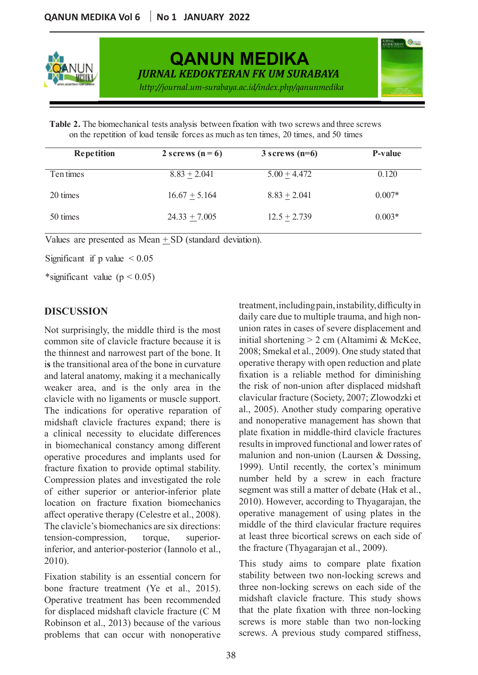

**QANUN MEDIKA QANUN MEDIKA** *JURNAL KEDOKTERAN FKUM SURABAYA JURNAL KEDOKTERAN FKUM SURABAYA JURNAL KEDOKTERAN FK UM SURABAYA* http://journal.um-surabaya.ac.id/index.php/qanunmedika<br>.

*JURNAL KEDOKTERAN FKUM SURABAYA JURNAL KEDOKTERAN FKUM SURABAYA*



Case Report **Case Report** *http://journal.um-surabaya.ac.id/index.php/qanunmedika* **Research Article** on the repetition of load tensile forces as much as ten times, 20 times, and 50 times **Table 2.** The biomechanical tests analysis between fixation with two screws and three screws

| <b>Repetition</b> | 2 screws $(n=6)$ | $3$ screws (n=6) | P-value  |
|-------------------|------------------|------------------|----------|
| Ten times         | $8.83 + 2.041$   | $5.00 + 4.472$   | 0.120    |
| 20 times          | $16.67 + 5.164$  | $8.83 + 2.041$   | $0.007*$ |
| 50 times          | $24.33 + 7.005$  | $12.5 + 2.739$   | $0.003*$ |

Values are presented as Mean  $\pm$  SD (standard deviation).

*Accepted :*   $P$  *Significant if p value*  $\lt$  0.05 *July 2019* Significant if p value  $\leq 0.05$ 

*Accepted : February 2019*  $S$ *Published xalle*  $(p \le 0.02)$ *Accepted : February 2019*  $S_2$ *Published xalue*  $(p \le 0.02)$ \*significant value  $(p < 0.05)$ 

## *Keywords: Keywords: Published : Mei 2019 Published : Mei 2019* Penggaron Lor **DISCUSSION DISCUSSION**

the thinnest and narrowest part of the bone. It  $2008$ ; Smekal et al., 2009). One study st Not surprisingly, the middle third is the most common site of clavicle fracture because it is initial shortening  $> 2$  cm (Altamimi & *correspondence*:  $\frac{1}{2}$ and lateral anatomy, making it a mechanically fixation is a reliable method for dim inferior, and anterior-posterior (Iannolo et al., the fracture (Thyagarajan et al., 2009). 2010). This study aims to compare plate fixation is the transitional area of the bone in curvature operative therapy with open reduction a weaker area, and is the only area in the the risk of non-union after displaced in  $\frac{1}{2}$ clavicle with no ligaments or muscle support. The indications for operative reparation of midshaft clavicle fractures expand; there is a clinical necessity to elucidate differences plate fixation in middle-third clavicle to in biomechanical constancy among different operative procedures and implants used for fracture fixation to provide optimal stability.  $1999$ ). Until recently, the cortex's m Compression plates and investigated the role of either superior or anterior-inferior plate location on fracture fixation biomechanics affect operative therapy (Celestre et al., 2008). operative management of using plate The clavicle's biomechanics are six directions: middle of the third clavicular fracture tension-compression, torque, superior-2010).

Fracture stability is an essential concern for the mon-locking series on each side fracture treatment (Ye et al., 2015). three non-locking screws on each side problems that can occur with nonoperative screws. A previous study compared s

permanent neurological sequelae. About 85% of mortality treatment, including pain, instability, difficulty in daily care due to multiple trauma, and high nonprisingly, the middle third is the most union rates in cases of severe displacement and  $\text{use it is}$  initial shortening > 2 cm (Altamimi & McKee, bone. It 2008; Smekal et al., 2009). One study stated that rvature operative therapy with open reduction and plate nically fixation is a reliable method for diminishing in the the risk of non-union after displaced midshaft upport. clavicular fracture (Society, 2007; Zlowodzki et The indications for operative reparation of al., 2005). Another study comparing operative midshaft clavicle fractures expand; there is and nonoperative management has shown that erences plate fixation in middle-third clavicle fractures in biomechanical constancy among different results in improved functional and lower rates of sed for malunion and non-union (Laursen & Døssing, ability. 1999). Until recently, the cortex's minimum he role number held by a screw in each fracture of either superior or anterior-inferior plate segment was still a matter of debate (Hak et al., location on fracture fixation biomechanics 2010). However, according to Thyagarajan, the 2008). operative management of using plates in the ections: middle of the third clavicular fracture requires permanent neurological sequelae. About 85% of mortality tension-compression, torque, superior- at least three bicortical screws on each side of  $et$  al., the fracture (Thyagarajan et al., 2009).

Cedera otak berat traumatis adalah cedera fatal, dengan tingkat kematian hingga 50%. Sekitar 1,5 Cedera otak berat traumatis adalah cedera fatal, dengan tingkat kematian hingga 50%. Sekitar 1,5 Fixation stability is an essential concern for stability between two non-locking screws and one fracture treatment (re et al., 2015). Unico hon-locking screws on cachistactor the Operative treatment has been recommended midshaft clavicle fracture. This study shows for displaced midshaft clavicle fracture  $(C M)$  that the plate fixation with three non-locking erative treatment has been recommended midshaft clavicle fracture. This study shows displaced midshaft clavicle fracture  $(C \, M)$  that the plate fixation with three non-locking Robinson et al., 2013) because of the various screws is more stable than two non-locking blems that can occur with nonoperative screws. A previous study compared stiffness, stability between two non-locking screws and three non-locking screws on each side of the screws is more stable than two non-locking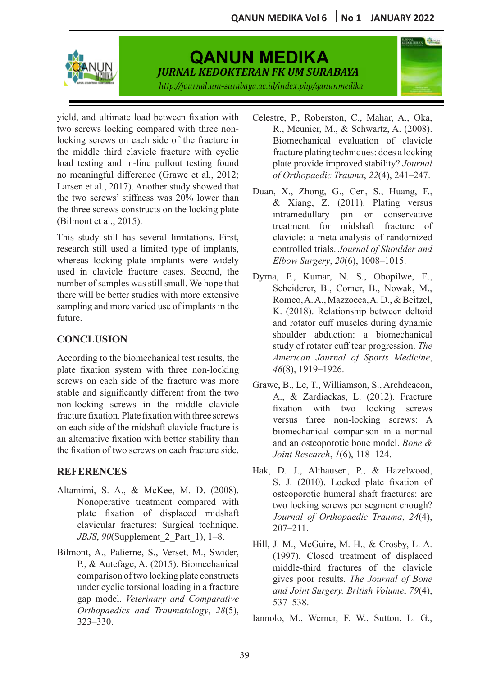

# **QANUN MEDIKA QANUN MEDIKA**

*JURNAL KEDOKTERAN FKUM SURABAYA JURNAL KEDOKTERAN FKUM SURABAYA*

*JURNAL KEDOKTERAN FKUM SURABAYA JURNAL KEDOKTERAN FKUM SURABAYA JURNAL KEDOKTERAN FK UM SURABAYA* http://journal.um-surabaya.ac.id/index.php/qanunmedika<br>.



(Bilmont et al., 2015). yield, and ultimate load between fixation with two screws locking compared with three non-<br>locking serous on each side of the frequency in Eigeneedenical avaluation of clavicle **FOCKING** SURVAN OF CALL SIGN OF THE TRACTURE IN THE BIOFFICIAL EVALUATION THE MATHEMATIC STATE OF THE TRACTURE OF THE SURVALUATION SURVALUATION CONTINUES.  $\mathop{\mathrm{imarg}}\mathop{\mathrm{tul}}$  difference (C Exercise of al.,  $2017$ ). Another study showed that Duan, X., Zhong, G., Cen, S., Huang, F., b screws' stiffness was  $20\%$ **Pulse Report Surveys on each side of the fracture in** load testing and in-line pullout testing found black plate provide improved stability? Journal  $\frac{d}{dt}$   $\frac{d}{dt}$  and  $\frac{d}{dt}$ -inc puriout testing found  $\frac{d}{dt}$  prairies no meaningful difference (Grawe et al., 2012;  $\frac{df}{dt}$ the meaningular directive (Grawe et al., 2012, and the of Orthopaeate Trauma, 22(4), 241–247.<br>Larsen et al., 2017). Another study showed that Duan X Zhong G. Cen. S. Huang, E.

read *i* being the same that  $\frac{1}{2}$ This study still has several limitations. First, research still used a limited type of implants, *Publisheda implants* whereas locking plate implants were where  $E$  used in clavicle fracture cases. Second, the  $E$ *Published : Mei 2019 Published : Mei 2019* sampling and more varied use of implants in the  $\mathbf{u}$ ic, brain insipidus, brain injury, brain injury, brain injury, brain injury, brain injury, brain injury, brain injury, brain injury, brain injury, brain injury, brain injury, brain injury, brain injury, brain inju  $\mathbf{u}_1$ . number of samples was still small. We hope that there will be better studies with more extensive whereas locking plate implants were widely future.

## hypernatremia, desmopressin, ICU hypernatremia, desmopressin, ICU *Keywords: Keywords:* **CONCLUSION**

*Correspondence:*  According to the biomechanical test results, the te fixation system with recording to the ofoneenamear test results, the plate fixation system with three non-locking *Correspondence: Correspondence:*  stable and significantly different from the two non-locking screws in the middle clavicle screws on each side of the fracture was more fracture fixation. Plate fixation with three screws on each side of the midshaft clavicle fracture is an alternative fixation with better stability than the fixation of two screws on each fracture side.

## **REFERENCES**

- Altamimi, S. A., & McKee, M. D. (2008). Nonoperative treatment compared with plate fixation of displaced midshaft clavicular fractures: Surgical technique. *JBJS*, *90*(Supplement\_2\_Part\_1), 1–8.
- Bilmont, A., Palierne, S., Verset, M., Swider, Orthopaedics and Traumatology,  $28(5)$ , Lannole M, Worner E W, Sutton J, G abstrakts under cyclic torsional loading in a fracture  $323-330$ . Iannolo, M., Werner, F. W., Sutton, L. G., P., & Autefage, A. (2015). Biomechanical comparison of two locking plate constructs 323–330.
- l testing and in-line pullout testing found here plate provide improved stability? *Journal* ween fixation with Celestre, P., Roberston, C., Mahar, A., Oka, R., Meunier, M., & Schwartz, A. (2008). Biomechanical evaluation of clavicle fracture plating techniques: does a locking plate provide improved stability? *Journal of Orthopaedic Trauma*, *22*(4), 241–247.
- plants, controlled trials. *Journal of Shoulder and* widely *Elbow Surgery*, 20(6), 1008–1015. Larsen et al., 2017). Another study showed that Duan, X., Zhong, G., Cen, S., Huang, F., the two screws' stiffness was 20% lower than  $\begin{array}{cc} R_r & \text{Xiang} & 7 & (2011) \end{array}$  Plating versus the three screws constructs on the locking plate  $\alpha$  Alang, *L.* (2011). Plating versus ont et al., 2015).<br> **ABSTRACT OF Anesthesion of Angle**<br>
treatment for midshaft fracture of st, clavicle: a meta-analysis of randomized & Xiang, Z. (2011). Plating versus intramedullary pin or conservative
	- $\mathbf{d}$ , the  $\mathbf{D}$  United States. The United States. The United States. The United States. The United States. The United States. pe that  $\frac{1}{2}$  Scheiderer B. Comer B. Novels M permanent neurological second  $\sum_{i=1}^{n}$  bound  $\sum_{i=1}^{n}$  sequelation by  $\sum_{i=1}^{n}$  and  $\sum_{i=1}^{n}$  bound  $\sum_{i=1}^{n}$  $\sin$  the  $\frac{1}{K}$  (2018). Pelationship between deltoid of a severe brain injury is diabeted to the series in the series in the series of the series in the series of the series of the series of the series of the series of the series of the series of the series of the series of definitive data on the induction of diabetes data of diabetes in the intervalse of the intervalse of the intervalse of the intervalse of the intervalse of the intervalse of the intervalse of the intervalse of the intervals product docatement with transmitted staaj or rottier can tear progression. The to, the Emergency Installation (IRD) and  $\frac{16(8)}{1010}$  1026  $\frac{1}{2}$   $\frac{1}{2}$   $\frac{1}{2}$ .  $T_{\text{r}}$  Dyrna, F., Kumar, N. S., Obopilwe, E.,  $m_{\text{total}}$  Scheiderer, B., Comer, B., Nowak, M.,  $Romeo, A.A., Mazzocca, A.D., & Bertzel,$  $K.$  (2018). Relationship between deltoid and rotator cuff muscles during dynamic shoulder abduction: a biomechanical study of rotator cuff tear progression. The s, the *American Journal of Sports Medicine*, *king* 46(8), 1919–1926.  $he$   $R$   $R$   $N$   $Q$   $Q1$   $1$   $R$ nd Dyrna, F., Kumar, N. S., Obopilwe, E., SCIENCION OF SOLUCTERS OF THE PISSON OF THE PISSON OF THE PISSON OF THE PISSON OF THE PISSON OF THE PISSON OF THE 1  $\text{min}$   $\alpha$ ,  $\alpha$ ,  $\alpha$ ,  $\alpha$ ,  $\alpha$ ,  $\alpha$ ,  $\alpha$ ,  $\alpha$ ,  $\alpha$ ,  $\alpha$ ,  $\alpha$ ,  $\alpha$ ,  $\alpha$ ,  $\alpha$ ,  $\alpha$ ,  $\alpha$ ,  $\alpha$ ,  $\alpha$ ,  $\alpha$ ,  $\alpha$ ,  $\alpha$ ,  $\alpha$ ,  $\alpha$ ,  $\alpha$ ,  $\alpha$ ,  $\alpha$ ,  $\alpha$ ,  $\alpha$ ,  $\alpha$ ,  $\alpha$ ,  $\alpha$ ,  $\alpha$ ,  $\alpha$ ,  $\alpha$ ,  $\alpha$ ,  $\alpha$  $\mathbb{R}$ . (2010). Relationship between denote and fotator can muscles during dynamic  $t_1 = \begin{bmatrix} 1 & 0 & t_1 & t_2 & t_3 \end{bmatrix}$  of  $\begin{bmatrix} 0 & t_1 & t_2 & t_3 \end{bmatrix}$  of  $\begin{bmatrix} 0 & t_1 & t_2 & t_3 \end{bmatrix}$  $\frac{8000 \text{ V}}{4}$   $\frac{8000 \text{ V}}{4}$   $\frac{8000 \text{ V}}{4}$   $\frac{8000 \text{ V}}{4}$   $\frac{8000 \text{ V}}{4}$   $\frac{8000 \text{ V}}{4}$   $\frac{8000 \text{ V}}{4}$ he *American Journal of Sports Medicine*,  $\pi v(\sigma)$ ,  $1717 - 1720$ . Romeo, A. A., Mazzocca, A. D., & Beitzel, K. (2018). Relationship between deltoid and rotator cuff muscles during dynamic shoulder abduction: a biomechanical study of rotator cuff tear progression. *The*
	- $\frac{1}{2}$  more Grawe, B., Le, T., Williamson, S., Archdeacon, he two<br>laviele A., & Zardiackas, L. (2012). Fracture lavicle fixation with two locking screws screws versus three non-locking screws: A ture is biomechanical comparison in a normal ty than and an osteoporotic bone model. Bone & re side. Joint Research,  $l(6)$ , 118–124.  $t_{\text{max}}$   $t_{\text{0}}(0, 1, 1, 1, 1, 2, 0)$
	- Hak. D. J., Althausen, P., & Hazelwood. S. J. (2010). Locked plate fixation of 2008). expressed ospised are the successfully ospised and successfully contact are the successfully contact are d with two locking screws per segment enough? two locking screws per segment enough?<br>idshaft *Journal of Orthonaedic Trauma*, 24(4), in the case of being death.  $207-211.$  $d_{\text{max}}$ , D. J., Aluiduscii, I.,  $\alpha$  Hazciwood,  $\mathcal{S}$ . J. (2010). LOCKED plate institution of  $\frac{1}{2}$  osteoporotic numeral shall hactures, are administration and administration and administration and administration and administration and administration and administration and administration and administration and  $h_{\text{full}}$  corrections are the corrections are the successfully contained in the successfully contained in the succession of  $\sigma$  $\frac{1}{207-211}$ .  $5.3. (2010)$ . EUCKCU plate fixation of osteoporotic humeral shaft fractures: are  $\frac{1}{2}$  design design design design design design design design design design design design design des  $\frac{1}{2}$  design design design design design design design des  $\frac{1}{2}$  design design des  $\frac{1}{2}$  design des  $\frac{$  $h_{\text{full}}$  corrections are the corrections and the successfully contained successfully  $\frac{24(4)}{307}$ , Hak, D. J., Althausen, P., & Hazelwood,  $\sim$  S. J. (2010). Locked plate fixation of aft  $I_{\text{Our real of Orthon} \text{adjoint} \text{Tramma} \quad 24(4)$ de.  $\frac{107-211}{207-211}$ *Journal of Orthopaedic Trauma*, *24*(4),
	- P.,  $\alpha$  Auterage, A. (2015). Biomechanical middle-third fractures of the clavicle comparison of two locking plate constructs gives poor results. The Journal of Bone under cyclic torsional loading in a fracture and Joint Surgery. British Volume, 79(4), gap model. Veterinary and Comparative  $537-538$ .  $\text{Hill, J. M., McGuire, M. H., & Crossy, L. A.}$  $\mu$  (1997). Closed treatment of displaced Hill, J. M., McGuire, M. H., & Crosby, L. A. 537–538.